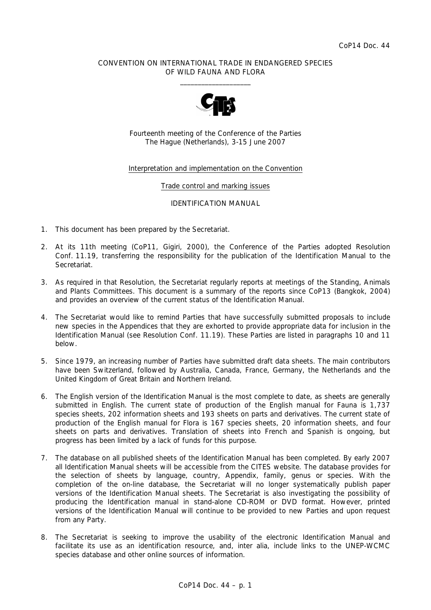## CONVENTION ON INTERNATIONAL TRADE IN ENDANGERED SPECIES OF WILD FAUNA AND FLORA  $\overline{\phantom{a}}$  , and the set of the set of the set of the set of the set of the set of the set of the set of the set of the set of the set of the set of the set of the set of the set of the set of the set of the set of the s



Fourteenth meeting of the Conference of the Parties The Hague (Netherlands), 3-15 June 2007

## Interpretation and implementation on the Convention

#### Trade control and marking issues

#### IDENTIFICATION MANUAL

- 1. This document has been prepared by the Secretariat.
- 2. At its 11th meeting (CoP11, Gigiri, 2000), the Conference of the Parties adopted Resolution Conf. 11.19, transferring the responsibility for the publication of the Identification Manual to the Secretariat.
- 3. As required in that Resolution, the Secretariat regularly reports at meetings of the Standing, Animals and Plants Committees. This document is a summary of the reports since CoP13 (Bangkok, 2004) and provides an overview of the current status of the Identification Manual.
- 4. The Secretariat would like to remind Parties that have successfully submitted proposals to include new species in the Appendices that they are exhorted to provide appropriate data for inclusion in the Identification Manual (see Resolution Conf. 11.19). These Parties are listed in paragraphs 10 and 11 below.
- 5. Since 1979, an increasing number of Parties have submitted draft data sheets. The main contributors have been Switzerland, followed by Australia, Canada, France, Germany, the Netherlands and the United Kingdom of Great Britain and Northern Ireland.
- 6. The English version of the Identification Manual is the most complete to date, as sheets are generally submitted in English. The current state of production of the English manual for Fauna is 1,737 species sheets, 202 information sheets and 193 sheets on parts and derivatives. The current state of production of the English manual for Flora is 167 species sheets, 20 information sheets, and four sheets on parts and derivatives. Translation of sheets into French and Spanish is ongoing, but progress has been limited by a lack of funds for this purpose.
- 7. The database on all published sheets of the Identification Manual has been completed. By early 2007 all Identification Manual sheets will be accessible from the CITES website. The database provides for the selection of sheets by language, country, Appendix, family, genus or species. With the completion of the on-line database, the Secretariat will no longer systematically publish paper versions of the Identification Manual sheets. The Secretariat is also investigating the possibility of producing the Identification manual in stand-alone CD-ROM or DVD format. However, printed versions of the Identification Manual will continue to be provided to new Parties and upon request from any Party.
- 8. The Secretariat is seeking to improve the usability of the electronic Identification Manual and facilitate its use as an identification resource, and, *inter alia*, include links to the UNEP-WCMC species database and other online sources of information.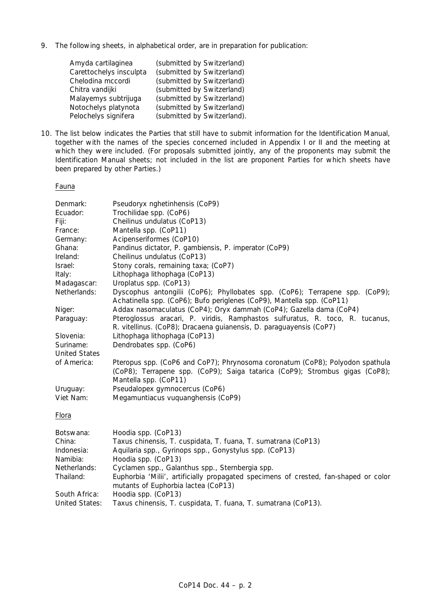9. The following sheets, in alphabetical order, are in preparation for publication:

| Amyda cartilaginea      | (submitted by Switzerland)  |
|-------------------------|-----------------------------|
| Carettochelys insculpta | (submitted by Switzerland)  |
| Chelodina mccordi       | (submitted by Switzerland)  |
| Chitra vandijki         | (submitted by Switzerland)  |
| Malayemys subtrijuga    | (submitted by Switzerland)  |
| Notochelys platynota    | (submitted by Switzerland)  |
| Pelochelys signifera    | (submitted by Switzerland). |

10. The list below indicates the Parties that still have to submit information for the Identification Manual, together with the names of the species concerned included in Appendix I or II and the meeting at which they were included. (For proposals submitted jointly, any of the proponents may submit the Identification Manual sheets; not included in the list are proponent Parties for which sheets have been prepared by other Parties.)

## Fauna

| Denmark:             | Pseudoryx nghetinhensis (CoP9)                                                                                                                         |
|----------------------|--------------------------------------------------------------------------------------------------------------------------------------------------------|
| Ecuador:             | Trochilidae spp. (CoP6)                                                                                                                                |
| Fiji:                | Cheilinus undulatus (CoP13)                                                                                                                            |
| France:              | Mantella spp. (CoP11)                                                                                                                                  |
| Germany:             | Acipenseriformes (CoP10)                                                                                                                               |
| Ghana:               | Pandinus dictator, P. gambiensis, P. imperator (CoP9)                                                                                                  |
| Ireland:             | Cheilinus undulatus (CoP13)                                                                                                                            |
| Israel:              | Stony corals, remaining taxa; (CoP7)                                                                                                                   |
| Italy:               | Lithophaga lithophaga (CoP13)                                                                                                                          |
| Madagascar:          | Uroplatus spp. (CoP13)                                                                                                                                 |
| Netherlands:         | Dyscophus antongilii (CoP6); Phyllobates spp. (CoP6); Terrapene spp. (CoP9);<br>Achatinella spp. (CoP6); Bufo periglenes (CoP9), Mantella spp. (CoP11) |
| Niger:               | Addax nasomaculatus (CoP4); Oryx dammah (CoP4); Gazella dama (CoP4)                                                                                    |
| Paraguay:            | Pteroglossus aracari, P. viridis, Ramphastos sulfuratus, R. toco, R. tucanus,                                                                          |
|                      | R. vitellinus. (CoP8); Dracaena guianensis, D. paraguayensis (CoP7)                                                                                    |
| Slovenia:            | Lithophaga lithophaga (CoP13)                                                                                                                          |
| Suriname:            | Dendrobates spp. (CoP6)                                                                                                                                |
| <b>United States</b> |                                                                                                                                                        |
| of America:          | Pteropus spp. (CoP6 and CoP7); Phrynosoma coronatum (CoP8); Polyodon spathula                                                                          |
|                      | (CoP8); Terrapene spp. (CoP9); Saiga tatarica (CoP9); Strombus gigas (CoP8);                                                                           |
|                      | Mantella spp. (CoP11)                                                                                                                                  |
| Uruguay:             | Pseudalopex gymnocercus (CoP6)                                                                                                                         |
| Viet Nam:            | Megamuntiacus vuquanghensis (CoP9)                                                                                                                     |
| Flora                |                                                                                                                                                        |
| Botswana:            | Hoodia spp. (CoP13)                                                                                                                                    |
| China:               | Taxus chinensis, T. cuspidata, T. fuana, T. sumatrana (CoP13)                                                                                          |
| Indonesia:           | Aquilaria spp., Gyrinops spp., Gonystylus spp. (CoP13)                                                                                                 |
|                      |                                                                                                                                                        |

| Namibia:     | <i>Hoodia</i> spp. (CoP13)                      |
|--------------|-------------------------------------------------|
| Netherlands: | Cyclamen spp., Galanthus spp., Sternbergia spp. |

| Thailand:     | <i>Euphorbia</i> 'Milii', artificially propagated specimens of crested, fan-shaped or color |
|---------------|---------------------------------------------------------------------------------------------|
|               | mutants of <i>Euphorbia lactea</i> (CoP13)                                                  |
| South Africa: | <i>Hoodia</i> spp. (CoP13)                                                                  |